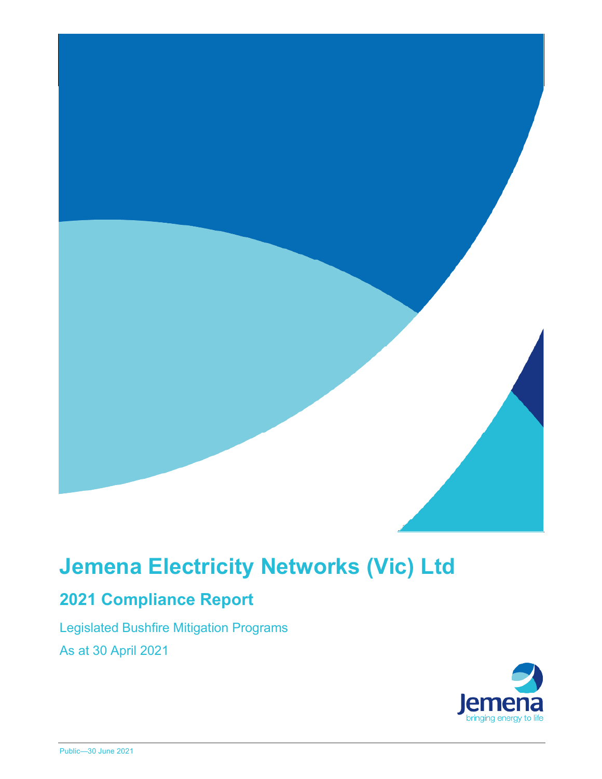

# **Jemena Electricity Networks (Vic) Ltd**

## **2021 Compliance Report**

Legislated Bushfire Mitigation Programs As at 30 April 2021

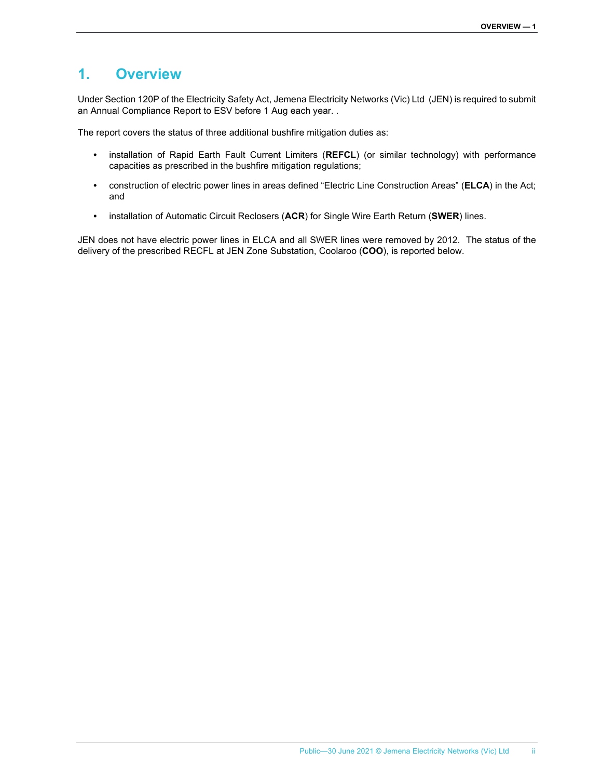### **1. Overview**

Under Section 120P of the Electricity Safety Act, Jemena Electricity Networks (Vic) Ltd (JEN) is required to submit an Annual Compliance Report to ESV before 1 Aug each year. .

The report covers the status of three additional bushfire mitigation duties as:

- installation of Rapid Earth Fault Current Limiters (**REFCL**) (or similar technology) with performance capacities as prescribed in the bushfire mitigation regulations;
- construction of electric power lines in areas defined "Electric Line Construction Areas" (**ELCA**) in the Act; and
- installation of Automatic Circuit Reclosers (**ACR**) for Single Wire Earth Return (**SWER**) lines.

JEN does not have electric power lines in ELCA and all SWER lines were removed by 2012. The status of the delivery of the prescribed RECFL at JEN Zone Substation, Coolaroo (**COO**), is reported below.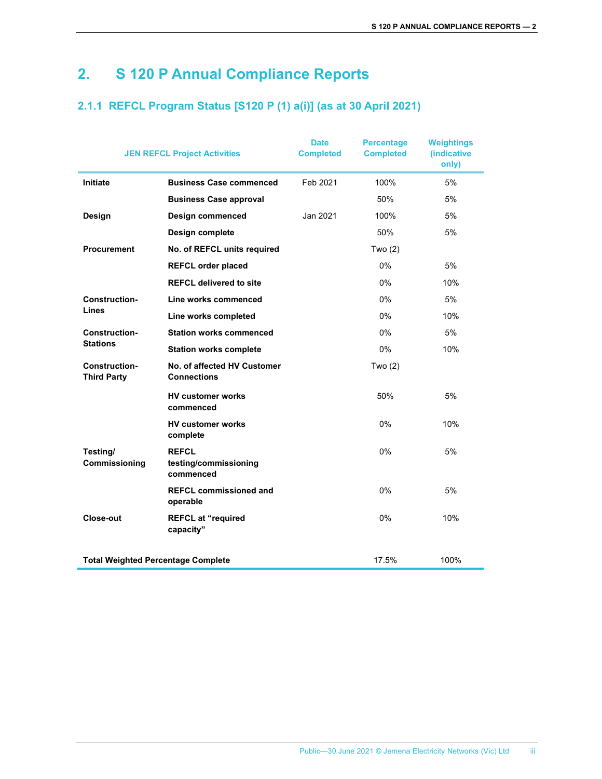## **2. S 120 P Annual Compliance Reports**

### **2.1.1 REFCL Program Status [S120 P (1) a(i)] (as at 30 April 2021)**

| <b>JEN REFCL Project Activities</b>        |                                                    | <b>Date</b><br><b>Completed</b> | <b>Percentage</b><br><b>Completed</b> | <b>Weightings</b><br>(indicative<br>only) |
|--------------------------------------------|----------------------------------------------------|---------------------------------|---------------------------------------|-------------------------------------------|
| Initiate                                   | <b>Business Case commenced</b>                     | Feb 2021                        | 100%                                  | 5%                                        |
|                                            | <b>Business Case approval</b>                      |                                 | 50%                                   | 5%                                        |
| Design                                     | Design commenced                                   | Jan 2021                        | 100%                                  | 5%                                        |
|                                            | Design complete                                    |                                 | 50%                                   | 5%                                        |
| <b>Procurement</b>                         | No. of REFCL units required                        |                                 | Two $(2)$                             |                                           |
|                                            | <b>REFCL order placed</b>                          |                                 | $0\%$                                 | 5%                                        |
|                                            | <b>REFCL delivered to site</b>                     |                                 | 0%                                    | 10%                                       |
| <b>Construction-</b><br>Lines              | Line works commenced                               |                                 | 0%                                    | 5%                                        |
|                                            | Line works completed                               |                                 | 0%                                    | 10%                                       |
| <b>Construction-</b>                       | <b>Station works commenced</b>                     |                                 | 0%                                    | 5%                                        |
| <b>Stations</b>                            | <b>Station works complete</b>                      |                                 | 0%                                    | 10%                                       |
| <b>Construction-</b><br><b>Third Party</b> | No. of affected HV Customer<br><b>Connections</b>  |                                 | Two $(2)$                             |                                           |
|                                            | <b>HV customer works</b><br>commenced              |                                 | 50%                                   | 5%                                        |
|                                            | <b>HV customer works</b><br>complete               |                                 | $0\%$                                 | 10%                                       |
| Testing/<br>Commissioning                  | <b>REFCL</b><br>testing/commissioning<br>commenced |                                 | $0\%$                                 | 5%                                        |
|                                            | <b>REFCL commissioned and</b><br>operable          |                                 | 0%                                    | 5%                                        |
| Close-out                                  | <b>REFCL at "required</b><br>capacity"             |                                 | 0%                                    | 10%                                       |
| <b>Total Weighted Percentage Complete</b>  |                                                    |                                 | 17.5%                                 | 100%                                      |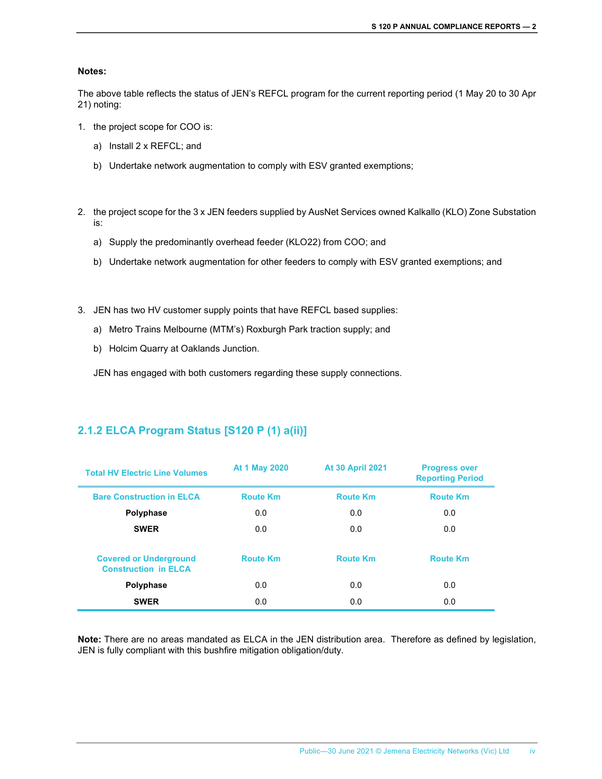#### **Notes:**

The above table reflects the status of JEN's REFCL program for the current reporting period (1 May 20 to 30 Apr 21) noting:

- 1. the project scope for COO is:
	- a) Install 2 x REFCL; and
	- b) Undertake network augmentation to comply with ESV granted exemptions;
- 2. the project scope for the 3 x JEN feeders supplied by AusNet Services owned Kalkallo (KLO) Zone Substation is:
	- a) Supply the predominantly overhead feeder (KLO22) from COO; and
	- b) Undertake network augmentation for other feeders to comply with ESV granted exemptions; and
- 3. JEN has two HV customer supply points that have REFCL based supplies:
	- a) Metro Trains Melbourne (MTM's) Roxburgh Park traction supply; and
	- b) Holcim Quarry at Oaklands Junction.

JEN has engaged with both customers regarding these supply connections.

#### **2.1.2 ELCA Program Status [S120 P (1) a(ii)]**

| <b>Total HV Electric Line Volumes</b>                        | At 1 May 2020<br><b>At 30 April 2021</b> |                 | <b>Progress over</b><br><b>Reporting Period</b> |  |
|--------------------------------------------------------------|------------------------------------------|-----------------|-------------------------------------------------|--|
| <b>Bare Construction in ELCA</b>                             | <b>Route Km</b>                          | <b>Route Km</b> | <b>Route Km</b>                                 |  |
| Polyphase                                                    | 0.0                                      | 0.0             | 0.0                                             |  |
| <b>SWER</b>                                                  | 0.0                                      | 0.0             | 0.0                                             |  |
| <b>Covered or Underground</b><br><b>Construction in ELCA</b> | <b>Route Km</b>                          | <b>Route Km</b> | <b>Route Km</b>                                 |  |
| Polyphase                                                    | 0.0                                      | 0.0             | 0.0                                             |  |
| <b>SWER</b>                                                  | 0.0                                      | 0.0             | 0.0                                             |  |

**Note:** There are no areas mandated as ELCA in the JEN distribution area. Therefore as defined by legislation, JEN is fully compliant with this bushfire mitigation obligation/duty.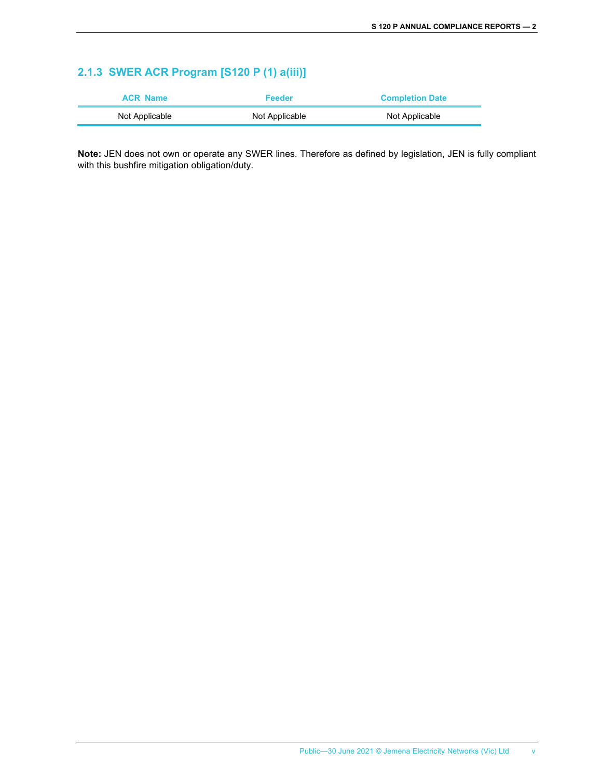### **2.1.3 SWER ACR Program [S120 P (1) a(iii)]**

| <b>ACR Name</b> | Feeder         | <b>Completion Date</b> |
|-----------------|----------------|------------------------|
| Not Applicable  | Not Applicable | Not Applicable         |

**Note:** JEN does not own or operate any SWER lines. Therefore as defined by legislation, JEN is fully compliant with this bushfire mitigation obligation/duty.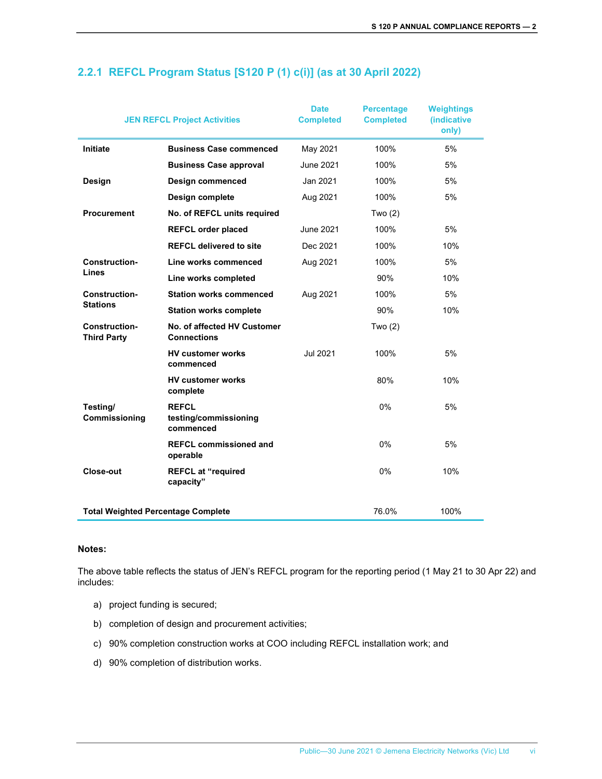| <b>JEN REFCL Project Activities</b>        |                                                    | <b>Date</b><br><b>Completed</b> | <b>Percentage</b><br><b>Completed</b> | <b>Weightings</b><br>(indicative<br>only) |
|--------------------------------------------|----------------------------------------------------|---------------------------------|---------------------------------------|-------------------------------------------|
| Initiate                                   | <b>Business Case commenced</b>                     | May 2021                        | 100%                                  | 5%                                        |
|                                            | <b>Business Case approval</b>                      | <b>June 2021</b>                | 100%                                  | 5%                                        |
| Design                                     | <b>Design commenced</b>                            | Jan 2021                        | 100%                                  | 5%                                        |
|                                            | Design complete                                    | Aug 2021                        | 100%                                  | 5%                                        |
| <b>Procurement</b>                         | No. of REFCL units required                        |                                 | Two $(2)$                             |                                           |
|                                            | <b>REFCL order placed</b>                          | <b>June 2021</b>                | 100%                                  | 5%                                        |
|                                            | <b>REFCL delivered to site</b>                     | Dec 2021                        | 100%                                  | 10%                                       |
| <b>Construction-</b><br>Lines              | Line works commenced                               | Aug 2021                        | 100%                                  | 5%                                        |
|                                            | Line works completed                               |                                 | 90%                                   | 10%                                       |
| <b>Construction-</b>                       | <b>Station works commenced</b>                     | Aug 2021                        | 100%                                  | 5%                                        |
| <b>Stations</b>                            | <b>Station works complete</b>                      |                                 | 90%                                   | 10%                                       |
| <b>Construction-</b><br><b>Third Party</b> | No. of affected HV Customer<br><b>Connections</b>  |                                 | Two $(2)$                             |                                           |
|                                            | <b>HV customer works</b><br>commenced              | <b>Jul 2021</b>                 | 100%                                  | 5%                                        |
|                                            | <b>HV customer works</b><br>complete               |                                 | 80%                                   | 10%                                       |
| Testing/<br>Commissioning                  | <b>REFCL</b><br>testing/commissioning<br>commenced |                                 | 0%                                    | 5%                                        |
|                                            | <b>REFCL commissioned and</b><br>operable          |                                 | 0%                                    | 5%                                        |
| Close-out                                  | <b>REFCL at "required</b><br>capacity"             |                                 | 0%                                    | 10%                                       |
| <b>Total Weighted Percentage Complete</b>  |                                                    |                                 | 76.0%                                 | 100%                                      |

#### **2.2.1 REFCL Program Status [S120 P (1) c(i)] (as at 30 April 2022)**

#### **Notes:**

The above table reflects the status of JEN's REFCL program for the reporting period (1 May 21 to 30 Apr 22) and includes:

- a) project funding is secured;
- b) completion of design and procurement activities;
- c) 90% completion construction works at COO including REFCL installation work; and
- d) 90% completion of distribution works.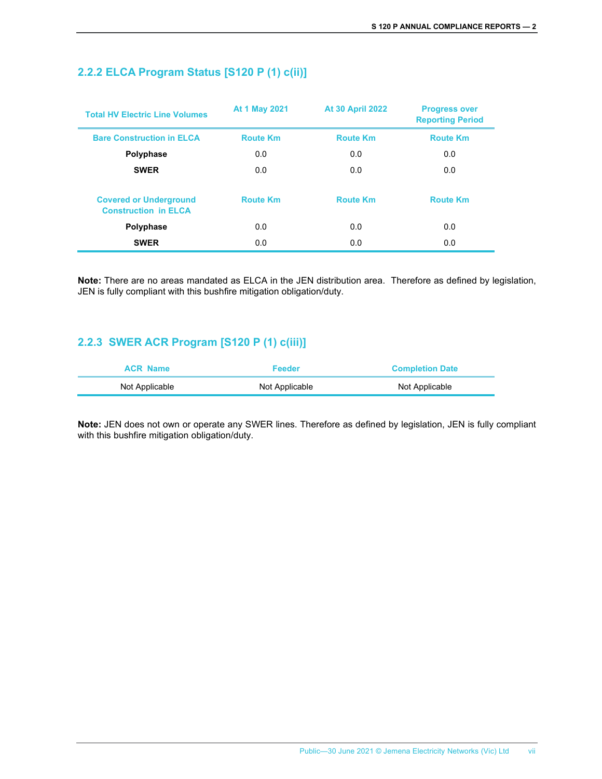| <b>Total HV Electric Line Volumes</b>                        | At 1 May 2021   | <b>At 30 April 2022</b> | <b>Progress over</b><br><b>Reporting Period</b> |
|--------------------------------------------------------------|-----------------|-------------------------|-------------------------------------------------|
| <b>Bare Construction in ELCA</b>                             | <b>Route Km</b> | <b>Route Km</b>         | <b>Route Km</b>                                 |
| Polyphase                                                    | 0.0             | 0.0                     | 0.0                                             |
| <b>SWER</b>                                                  | 0.0             | 0.0                     | 0.0                                             |
| <b>Covered or Underground</b><br><b>Construction in ELCA</b> | <b>Route Km</b> | <b>Route Km</b>         | <b>Route Km</b>                                 |
| Polyphase                                                    | 0.0             | 0.0                     | 0.0                                             |
| <b>SWER</b>                                                  | 0.0             | 0.0                     | 0.0                                             |

#### **2.2.2 ELCA Program Status [S120 P (1) c(ii)]**

**Note:** There are no areas mandated as ELCA in the JEN distribution area. Therefore as defined by legislation, JEN is fully compliant with this bushfire mitigation obligation/duty.

#### **2.2.3 SWER ACR Program [S120 P (1) c(iii)]**

| <b>ACR Name</b> | Feeder         | <b>Completion Date</b> |
|-----------------|----------------|------------------------|
| Not Applicable  | Not Applicable | Not Applicable         |

**Note:** JEN does not own or operate any SWER lines. Therefore as defined by legislation, JEN is fully compliant with this bushfire mitigation obligation/duty.